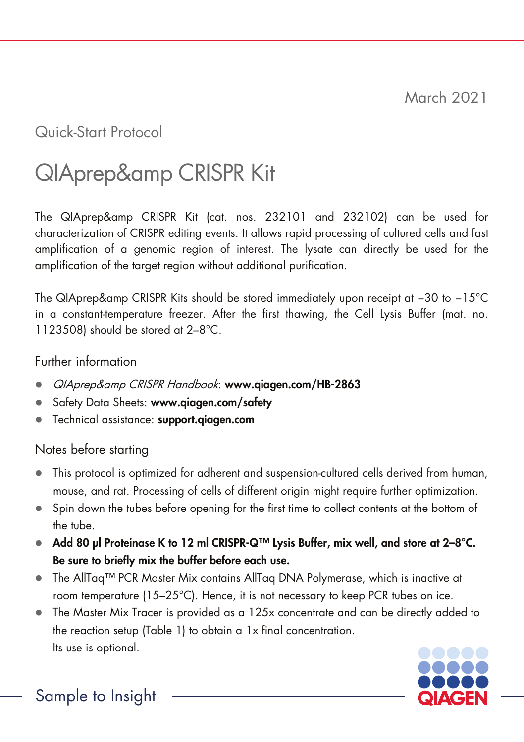March 2021

## Quick-Start Protocol

# QIAprep&amp CRISPR Kit

The QIAprep&amp CRISPR Kit (cat. nos. 232101 and 232102) can be used for characterization of CRISPR editing events. It allows rapid processing of cultured cells and fast amplification of a genomic region of interest. The lysate can directly be used for the amplification of the target region without additional purification.

The QIAprep&amp CRISPR Kits should be stored immediately upon receipt at -30 to -15°C in a constant-temperature freezer. After the first thawing, the Cell Lysis Buffer (mat. no. 1123508) should be stored at 2-8°C.

#### Further information

- QIAprep&amp CRISPR Handbook: www.qiagen.com/HB-2863
- Safety Data Sheets: www.qiagen.com/safety
- Technical assistance: support.aiagen.com

#### Notes before starting

- This protocol is optimized for adherent and suspension-cultured cells derived from human, mouse, and rat. Processing of cells of different origin might require further optimization.
- Spin down the tubes before opening for the first time to collect contents at the bottom of the tube.
- Add 80 µl Proteinase K to 12 ml CRISPR-Q™ Lysis Buffer, mix well, and store at 2–8°C. Be sure to briefly mix the buffer before each use.
- The AllTaq™ PCR Master Mix contains AllTaq DNA Polymerase, which is inactive at room temperature (15–25°C). Hence, it is not necessary to keep PCR tubes on ice.
- The Master Mix Tracer is provided as a 125x concentrate and can be directly added to the reaction setup [\(Table 1\)](#page-2-0) to obtain a 1x final concentration. Its use is optional.



Sample to Insight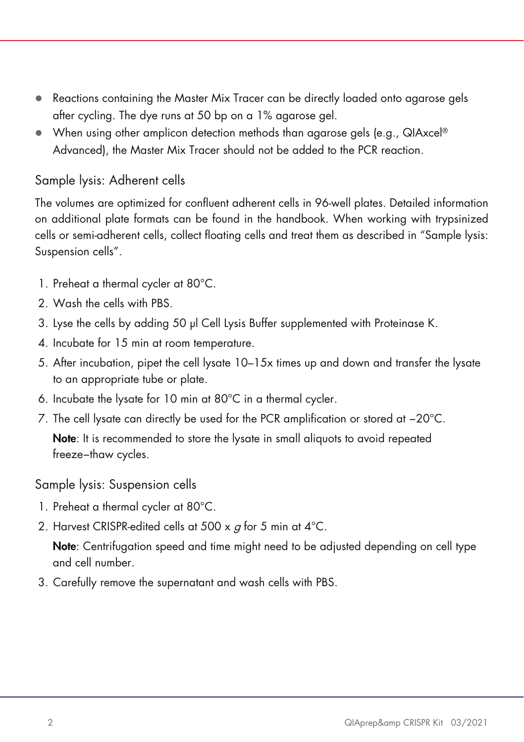- Reactions containing the Master Mix Tracer can be directly loaded onto agarose gels after cycling. The dye runs at 50 bp on a 1% agarose gel.
- $\bullet$  When using other amplicon detection methods than agarose gels (e.g., QIAxcel®) Advanced), the Master Mix Tracer should not be added to the PCR reaction.

### <span id="page-1-1"></span>Sample lysis: Adherent cells

The volumes are optimized for confluent adherent cells in 96-well plates. Detailed information on additional plate formats can be found in the handbook. When working with trypsinized cells or semi-adherent cells, collect floating cells and treat them as described in ["Sample lysis:](#page-1-0)  [Suspension](#page-1-0) cells".

- 1. Preheat a thermal cycler at 80°C.
- 2. Wash the cells with PBS.
- 3. Lyse the cells by adding 50 µl Cell Lysis Buffer supplemented with Proteinase K.
- 4. Incubate for 15 min at room temperature.
- 5. After incubation, pipet the cell lysate 10–15x times up and down and transfer the lysate to an appropriate tube or plate.
- 6. Incubate the lysate for 10 min at 80°C in a thermal cycler.
- 7. The cell lysate can directly be used for the PCR amplification or stored at −20°C. Note: It is recommended to store the lysate in small aliquots to avoid repeated freeze−thaw cycles.

<span id="page-1-0"></span>Sample lysis: Suspension cells

- 1. Preheat a thermal cycler at 80°C.
- 2. Harvest CRISPR-edited cells at 500 x  $g$  for 5 min at 4 °C.

Note: Centrifugation speed and time might need to be adjusted depending on cell type and cell number.

3. Carefully remove the supernatant and wash cells with PBS.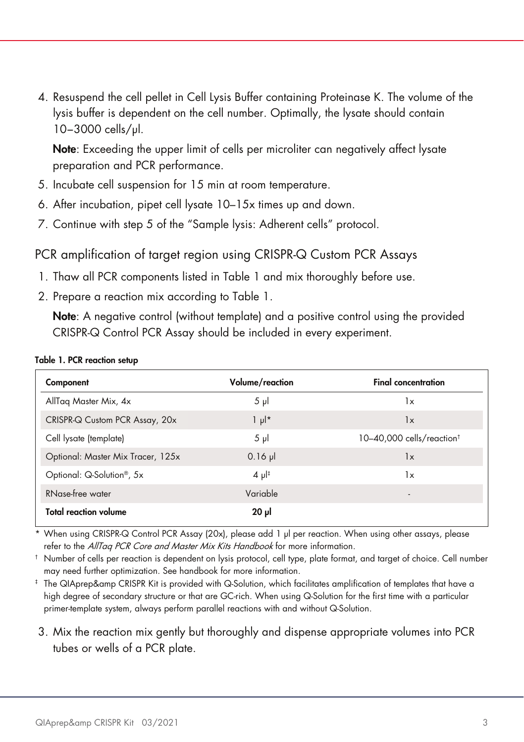4. Resuspend the cell pellet in Cell Lysis Buffer containing Proteinase K. The volume of the lysis buffer is dependent on the cell number. Optimally, the lysate should contain 10−3000 cells/µl.

Note: Exceeding the upper limit of cells per microliter can negatively affect lysate preparation and PCR performance.

- 5. Incubate cell suspension for 15 min at room temperature.
- 6. After incubation, pipet cell lysate 10–15x times up and down.
- 7. Continue with step 5 of the ["Sample lysis: Adherent](#page-1-1) cells" protocol.

PCR amplification of target region using CRISPR-Q Custom PCR Assays

- 1. Thaw all PCR components listed in [Table 1](#page-2-0) and mix thoroughly before use.
- 2. Prepare a reaction mix according to [Table 1.](#page-2-0)

Note: A negative control (without template) and a positive control using the provided CRISPR-Q Control PCR Assay should be included in every experiment.

| Component                              | Volume/reaction      | <b>Final concentration</b>            |
|----------------------------------------|----------------------|---------------------------------------|
| AllTag Master Mix, 4x                  | $5 \mu$              | 1x                                    |
| CRISPR-Q Custom PCR Assay, 20x         | $1 \mu$ <sup>*</sup> | 1x                                    |
| Cell lysate (template)                 | $5 \mu$              | 10-40,000 cells/reaction <sup>t</sup> |
| Optional: Master Mix Tracer, 125x      | $0.16$ pl            | 1x                                    |
| Optional: Q-Solution <sup>®</sup> , 5x | $4 \mu$ <sup>#</sup> | 1x                                    |
| RNase-free water                       | Variable             |                                       |
| <b>Total reaction volume</b>           | $20 \mu$             |                                       |

#### <span id="page-2-0"></span>Table 1. PCR reaction setup

When using CRISPR-Q Control PCR Assay (20x), please add 1 µl per reaction. When using other assays, please refer to the AllTaq PCR Core and Master Mix Kits Handbook for more information.

† Number of cells per reaction is dependent on lysis protocol, cell type, plate format, and target of choice. Cell number may need further optimization. See handbook for more information.

- ‡ The QIAprep&amp CRISPR Kit is provided with Q-Solution, which facilitates amplification of templates that have a high degree of secondary structure or that are GC-rich. When using Q-Solution for the first time with a particular primer-template system, always perform parallel reactions with and without Q-Solution.
- 3. Mix the reaction mix gently but thoroughly and dispense appropriate volumes into PCR tubes or wells of a PCR plate.